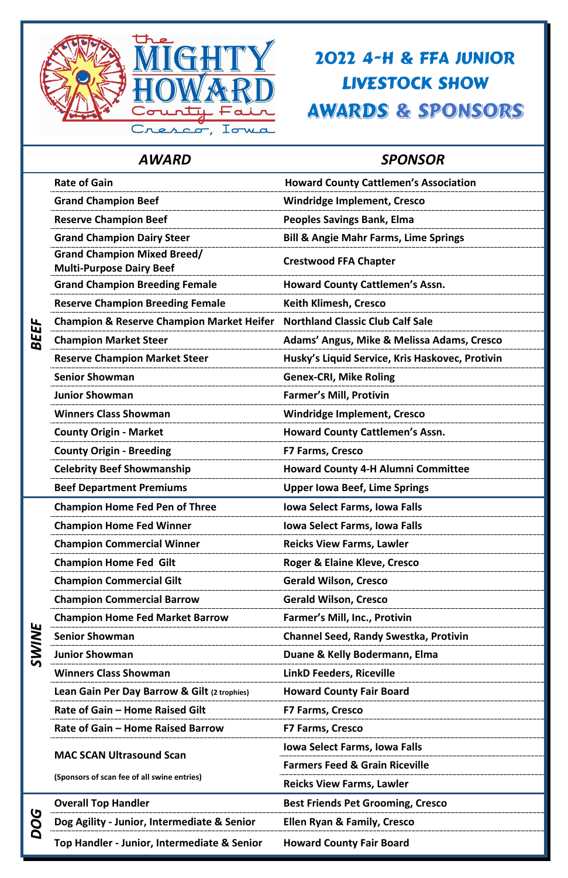### *AWARD SPONSOR*

*BEEF*

| linners Class Showman |  |  |
|-----------------------|--|--|
|-----------------------|--|--|

|  | <b>Rate of Gain</b>                                                   | <b>Howard County Cattlemen's Association</b>     |
|--|-----------------------------------------------------------------------|--------------------------------------------------|
|  | <b>Grand Champion Beef</b>                                            | <b>Windridge Implement, Cresco</b>               |
|  | <b>Reserve Champion Beef</b>                                          | <b>Peoples Savings Bank, Elma</b>                |
|  | <b>Grand Champion Dairy Steer</b>                                     | <b>Bill &amp; Angie Mahr Farms, Lime Springs</b> |
|  | <b>Grand Champion Mixed Breed/</b><br><b>Multi-Purpose Dairy Beef</b> | <b>Crestwood FFA Chapter</b>                     |
|  | <b>Grand Champion Breeding Female</b>                                 | <b>Howard County Cattlemen's Assn.</b>           |
|  | <b>Reserve Champion Breeding Female</b>                               | <b>Keith Klimesh, Cresco</b>                     |
|  | <b>Champion &amp; Reserve Champion Market Heifer</b>                  | <b>Northland Classic Club Calf Sale</b>          |
|  | <b>Champion Market Steer</b>                                          | Adams' Angus, Mike & Melissa Adams, Cresco       |
|  | <b>Reserve Champion Market Steer</b>                                  | Husky's Liquid Service, Kris Haskovec, Protivin  |
|  | <b>Senior Showman</b>                                                 | <b>Genex-CRI, Mike Roling</b>                    |
|  | <b>Junior Showman</b>                                                 | <b>Farmer's Mill, Protivin</b>                   |
|  | <b>Winners Class Showman</b>                                          | <b>Windridge Implement, Cresco</b>               |
|  | <b>County Origin - Market</b>                                         | <b>Howard County Cattlemen's Assn.</b>           |
|  | <b>County Origin - Breeding</b>                                       | <b>F7 Farms, Cresco</b>                          |
|  | <b>Celebrity Beef Showmanship</b>                                     | <b>Howard County 4-H Alumni Committee</b>        |
|  | <b>Beef Department Premiums</b>                                       | <b>Upper lowa Beef, Lime Springs</b>             |
|  | <b>Champion Home Fed Pen of Three</b>                                 | <b>Iowa Select Farms, Iowa Falls</b>             |
|  | <b>Champion Home Fed Winner</b>                                       | <b>Iowa Select Farms, Iowa Falls</b>             |
|  | <b>Champion Commercial Winner</b>                                     | <b>Reicks View Farms, Lawler</b>                 |
|  | <b>Champion Home Fed Gilt</b>                                         | Roger & Elaine Kleve, Cresco                     |
|  | <b>Champion Commercial Gilt</b>                                       | <b>Gerald Wilson, Cresco</b>                     |
|  | <b>Champion Commercial Barrow</b>                                     | <b>Gerald Wilson, Cresco</b>                     |
|  | <b>Champion Home Fed Market Barrow</b>                                | <b>Farmer's Mill, Inc., Protivin</b>             |
|  | <b>Senior Showman</b>                                                 | <b>Channel Seed, Randy Swestka, Protivin</b>     |
|  |                                                                       |                                                  |



## 2022 4-H & FFA JUNIOR LIVESTOCK SHOW**AWARDS & SPONSORS**

**Junior Showman Duane & Kelly Bodermann, Elma**

**Winners Class Showman LinkD Feeders, Riceville**

**Lean Gain Per Day Barrow & Gilt (2 trophies) Howard County Fair Board**

**Rate of Gain – Home Raised Gilt F7 Farms, Cresco**

**Rate of Gain – Home Raised Barrow F7 Farms, Cresco**

**MAC SCAN Ultrasound Scan** 

**(Sponsors of scan fee of all swine entries)**

**Iowa Select Farms, Iowa Falls** 

**Farmers Feed & Grain Riceville**

**Reicks View Farms, Lawler**

*DOG*

**Dog Agility - Junior, Intermediate & Senior Ellen Ryan & Family, Cresco**

**Top Handler - Junior, Intermediate & Senior Howard County Fair Board**

**Overall Top Handler <b>Best Friends Pet Grooming, Cresco**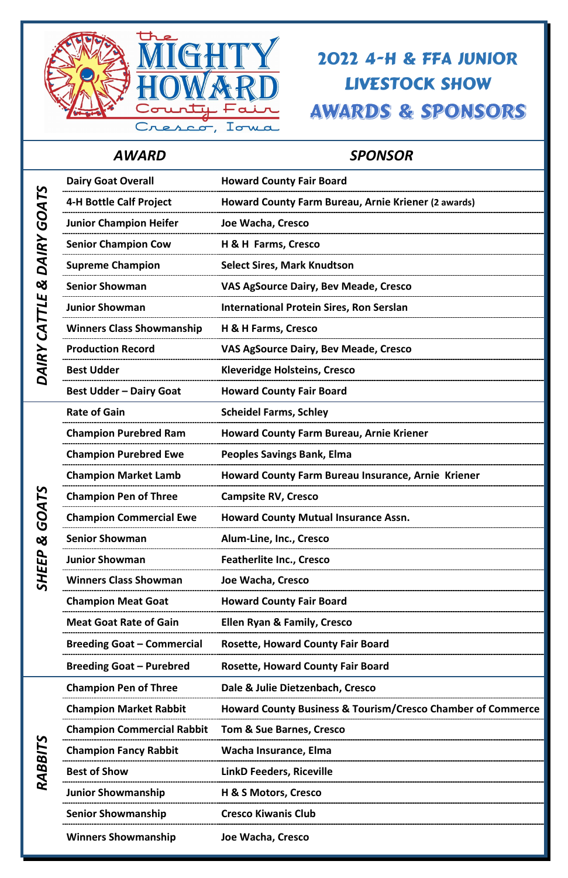### *AWARD SPONSOR*



## 2022 4-H & FFA JUNIOR LIVESTOCK SHOWAWARDS & SPONSORS

|                       | <b>Dairy Goat Overall</b>         | <b>Howard County Fair Board</b>                                        |
|-----------------------|-----------------------------------|------------------------------------------------------------------------|
| GOATS                 | <b>4-H Bottle Calf Project</b>    | Howard County Farm Bureau, Arnie Kriener (2 awards)                    |
|                       | <b>Junior Champion Heifer</b>     | Joe Wacha, Cresco                                                      |
|                       | <b>Senior Champion Cow</b>        | H & H Farms, Cresco                                                    |
| <b>DAIRY</b>          | <b>Supreme Champion</b>           | <b>Select Sires, Mark Knudtson</b>                                     |
| $\boldsymbol{\alpha}$ | <b>Senior Showman</b>             | VAS AgSource Dairy, Bev Meade, Cresco                                  |
| Щ<br>TTL.             | <b>Junior Showman</b>             | <b>International Protein Sires, Ron Serslan</b>                        |
| $\mathcal{L}$         | <b>Winners Class Showmanship</b>  | H & H Farms, Cresco                                                    |
|                       | <b>Production Record</b>          | VAS AgSource Dairy, Bev Meade, Cresco                                  |
| DAIRY                 | <b>Best Udder</b>                 | <b>Kleveridge Holsteins, Cresco</b>                                    |
|                       | <b>Best Udder - Dairy Goat</b>    | <b>Howard County Fair Board</b>                                        |
|                       | <b>Rate of Gain</b>               | <b>Scheidel Farms, Schley</b>                                          |
|                       | <b>Champion Purebred Ram</b>      | <b>Howard County Farm Bureau, Arnie Kriener</b>                        |
|                       | <b>Champion Purebred Ewe</b>      | <b>Peoples Savings Bank, Elma</b>                                      |
|                       | <b>Champion Market Lamb</b>       | <b>Howard County Farm Bureau Insurance, Arnie Kriener</b>              |
| 51                    | <b>Champion Pen of Three</b>      | <b>Campsite RV, Cresco</b>                                             |
| <b>AOS</b>            | <b>Champion Commercial Ewe</b>    | <b>Howard County Mutual Insurance Assn.</b>                            |
| $\infty$              | <b>Senior Showman</b>             | Alum-Line, Inc., Cresco                                                |
|                       | <b>Junior Showman</b>             | <b>Featherlite Inc., Cresco</b>                                        |
| <b>SHEEP</b>          | <b>Winners Class Showman</b>      | Joe Wacha, Cresco                                                      |
|                       | <b>Champion Meat Goat</b>         | <b>Howard County Fair Board</b>                                        |
|                       | <b>Meat Goat Rate of Gain</b>     | <b>Ellen Ryan &amp; Family, Cresco</b>                                 |
|                       | <b>Breeding Goat - Commercial</b> | <b>Rosette, Howard County Fair Board</b>                               |
|                       | <b>Breeding Goat - Purebred</b>   | <b>Rosette, Howard County Fair Board</b>                               |
|                       | <b>Champion Pen of Three</b>      | Dale & Julie Dietzenbach, Cresco                                       |
|                       | <b>Champion Market Rabbit</b>     | <b>Howard County Business &amp; Tourism/Cresco Chamber of Commerce</b> |
|                       | <b>Champion Commercial Rabbit</b> | <b>Tom &amp; Sue Barnes, Cresco</b>                                    |
| RABBITS               | <b>Champion Fancy Rabbit</b>      | <b>Wacha Insurance, Elma</b>                                           |
|                       | <b>Best of Show</b>               | <b>LinkD Feeders, Riceville</b>                                        |
|                       | <b>Junior Showmanship</b>         | <b>H &amp; S Motors, Cresco</b>                                        |
|                       | <b>Senior Showmanship</b>         | <b>Cresco Kiwanis Club</b>                                             |
|                       | <b>Winners Showmanship</b>        | Joe Wacha, Cresco                                                      |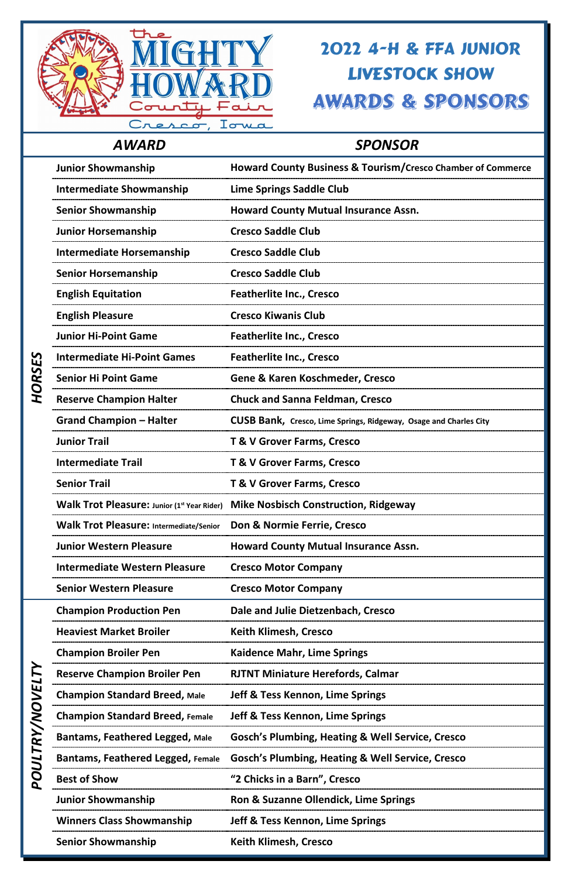

### *AWARD SPONSOR*

## 2022 4-H & FFA JUNIOR LIVESTOCK SHOWAWARDS & SPONSORS

|               | <b>Junior Showmanship</b>                      | <b>Howard County Business &amp; Tourism/Cresco Chamber of Commerce</b>   |
|---------------|------------------------------------------------|--------------------------------------------------------------------------|
|               | <b>Intermediate Showmanship</b>                | <b>Lime Springs Saddle Club</b>                                          |
|               | <b>Senior Showmanship</b>                      | <b>Howard County Mutual Insurance Assn.</b>                              |
|               | <b>Junior Horsemanship</b>                     | <b>Cresco Saddle Club</b>                                                |
|               | <b>Intermediate Horsemanship</b>               | <b>Cresco Saddle Club</b>                                                |
|               | <b>Senior Horsemanship</b>                     | <b>Cresco Saddle Club</b>                                                |
|               | <b>English Equitation</b>                      | <b>Featherlite Inc., Cresco</b>                                          |
|               | <b>English Pleasure</b>                        | <b>Cresco Kiwanis Club</b>                                               |
|               | <b>Junior Hi-Point Game</b>                    | <b>Featherlite Inc., Cresco</b>                                          |
|               | <b>Intermediate Hi-Point Games</b>             | <b>Featherlite Inc., Cresco</b>                                          |
| HORSES        | <b>Senior Hi Point Game</b>                    | <b>Gene &amp; Karen Koschmeder, Cresco</b>                               |
|               | <b>Reserve Champion Halter</b>                 | <b>Chuck and Sanna Feldman, Cresco</b>                                   |
|               | <b>Grand Champion - Halter</b>                 | <b>CUSB Bank, Cresco, Lime Springs, Ridgeway, Osage and Charles City</b> |
|               | <b>Junior Trail</b>                            | <b>T &amp; V Grover Farms, Cresco</b>                                    |
|               | <b>Intermediate Trail</b>                      | <b>T &amp; V Grover Farms, Cresco</b>                                    |
|               | <b>Senior Trail</b>                            | <b>T &amp; V Grover Farms, Cresco</b>                                    |
|               | Walk Trot Pleasure: Junior (1st Year Rider)    | <b>Mike Nosbisch Construction, Ridgeway</b>                              |
|               | <b>Walk Trot Pleasure: Intermediate/Senior</b> | Don & Normie Ferrie, Cresco                                              |
|               | <b>Junior Western Pleasure</b>                 | <b>Howard County Mutual Insurance Assn.</b>                              |
|               | <b>Intermediate Western Pleasure</b>           | <b>Cresco Motor Company</b>                                              |
|               | <b>Senior Western Pleasure</b>                 | <b>Cresco Motor Company</b>                                              |
|               | <b>Champion Production Pen</b>                 | Dale and Julie Dietzenbach, Cresco                                       |
|               | <b>Heaviest Market Broiler</b>                 | <b>Keith Klimesh, Cresco</b>                                             |
|               | <b>Champion Broiler Pen</b>                    | <b>Kaidence Mahr, Lime Springs</b>                                       |
| <b>Y</b>      | <b>Reserve Champion Broiler Pen</b>            | <b>RJTNT Miniature Herefords, Calmar</b>                                 |
|               | <b>Champion Standard Breed, Male</b>           | <b>Jeff &amp; Tess Kennon, Lime Springs</b>                              |
|               | <b>Champion Standard Breed, Female</b>         | <b>Jeff &amp; Tess Kennon, Lime Springs</b>                              |
| POULTRY/NOVEL | Bantams, Feathered Legged, Male                | <b>Gosch's Plumbing, Heating &amp; Well Service, Cresco</b>              |
|               | <b>Bantams, Feathered Legged, Female</b>       | <b>Gosch's Plumbing, Heating &amp; Well Service, Cresco</b>              |
|               | <b>Best of Show</b>                            | "2 Chicks in a Barn", Cresco                                             |
|               | <b>Junior Showmanship</b>                      | Ron & Suzanne Ollendick, Lime Springs                                    |
|               | <b>Winners Class Showmanship</b>               | Jeff & Tess Kennon, Lime Springs                                         |
|               | <b>Senior Showmanship</b>                      | <b>Keith Klimesh, Cresco</b>                                             |